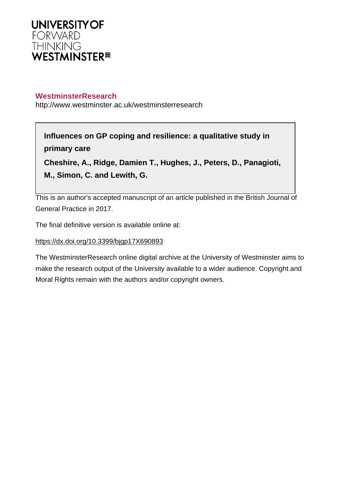

# **WestminsterResearch**

http://www.westminster.ac.uk/westminsterresearch

# **Influences on GP coping and resilience: a qualitative study in primary care**

**Cheshire, A., Ridge, Damien T., Hughes, J., Peters, D., Panagioti, M., Simon, C. and Lewith, G.**

This is an author's accepted manuscript of an article published in the British Journal of General Practice in 2017.

The final definitive version is available online at:

## <https://dx.doi.org/10.3399/bjgp17X690893>

The WestminsterResearch online digital archive at the University of Westminster aims to make the research output of the University available to a wider audience. Copyright and Moral Rights remain with the authors and/or copyright owners.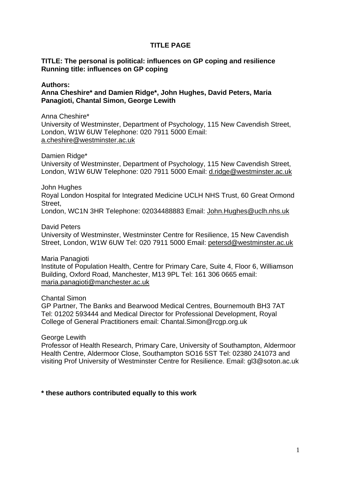#### **TITLE PAGE**

#### **TITLE: The personal is political: influences on GP coping and resilience Running title: influences on GP coping**

#### **Authors:**

**Anna Cheshire\* and Damien Ridge\*, John Hughes, David Peters, Maria Panagioti, Chantal Simon, George Lewith**

Anna Cheshire\*

University of Westminster, Department of Psychology, 115 New Cavendish Street, London, W1W 6UW Telephone: 020 7911 5000 Email: [a.cheshire@westminster.ac.uk](mailto:a.cheshire@westminster.ac.uk) 

Damien Ridge\*

University of Westminster, Department of Psychology, 115 New Cavendish Street, London, W1W 6UW Telephone: 020 7911 5000 Email: [d.ridge@westminster.ac.uk](mailto:d.ridge@westminster.ac.uk) 

John Hughes

Royal London Hospital for Integrated Medicine UCLH NHS Trust, 60 Great Ormond Street,

London, WC1N 3HR Telephone: 02034488883 Email: [John.Hughes@uclh.nhs.uk](mailto:John.Hughes@uclh.nhs.uk)

David Peters

University of Westminster, Westminster Centre for Resilience, 15 New Cavendish Street, London, W1W 6UW Tel: 020 7911 5000 Email: [petersd@westminster.ac.uk](mailto:petersd@westminster.ac.uk) 

Maria Panagioti

Institute of Population Health, Centre for Primary Care, Suite 4, Floor 6, Williamson Building, Oxford Road, Manchester, M13 9PL Tel: 161 306 0665 email: [maria.panagioti@manchester.ac.uk](mailto:maria.panagioti@manchester.ac.uk) 

Chantal Simon

GP Partner, The Banks and Bearwood Medical Centres, Bournemouth BH3 7AT Tel: 01202 593444 and Medical Director for Professional Development, Royal College of General Practitioners email: Chantal.Simon@rcgp.org.uk

George Lewith

Professor of Health Research, Primary Care, University of Southampton, Aldermoor Health Centre, Aldermoor Close, Southampton SO16 5ST Tel: 02380 241073 and visiting Prof University of Westminster Centre for Resilience. Email: gl3@soton.ac.uk

#### **\* these authors contributed equally to this work**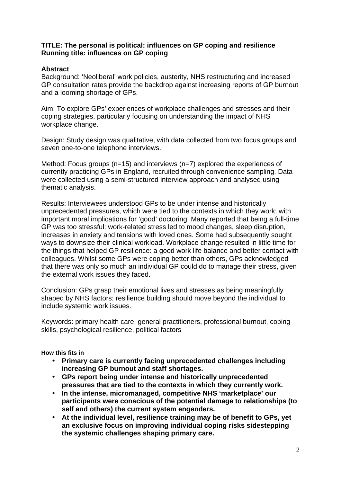#### **TITLE: The personal is political: influences on GP coping and resilience Running title: influences on GP coping**

# **Abstract**

Background: 'Neoliberal' work policies, austerity, NHS restructuring and increased GP consultation rates provide the backdrop against increasing reports of GP burnout and a looming shortage of GPs.

Aim: To explore GPs' experiences of workplace challenges and stresses and their coping strategies, particularly focusing on understanding the impact of NHS workplace change.

Design: Study design was qualitative, with data collected from two focus groups and seven one-to-one telephone interviews.

Method: Focus groups (n=15) and interviews (n=7) explored the experiences of currently practicing GPs in England, recruited through convenience sampling. Data were collected using a semi-structured interview approach and analysed using thematic analysis.

Results: Interviewees understood GPs to be under intense and historically unprecedented pressures, which were tied to the contexts in which they work; with important moral implications for 'good' doctoring. Many reported that being a full-time GP was too stressful: work-related stress led to mood changes, sleep disruption, increases in anxiety and tensions with loved ones. Some had subsequently sought ways to downsize their clinical workload. Workplace change resulted in little time for the things that helped GP resilience: a good work life balance and better contact with colleagues. Whilst some GPs were coping better than others, GPs acknowledged that there was only so much an individual GP could do to manage their stress, given the external work issues they faced.

Conclusion: GPs grasp their emotional lives and stresses as being meaningfully shaped by NHS factors; resilience building should move beyond the individual to include systemic work issues.

Keywords: primary health care, general practitioners, professional burnout, coping skills, psychological resilience, political factors

#### **How this fits in**

- **Primary care is currently facing unprecedented challenges including increasing GP burnout and staff shortages.**
- **GPs report being under intense and historically unprecedented pressures that are tied to the contexts in which they currently work.**
- **In the intense, micromanaged, competitive NHS 'marketplace' our participants were conscious of the potential damage to relationships (to self and others) the current system engenders.**
- **At the individual level, resilience training may be of benefit to GPs, yet an exclusive focus on improving individual coping risks sidestepping the systemic challenges shaping primary care.**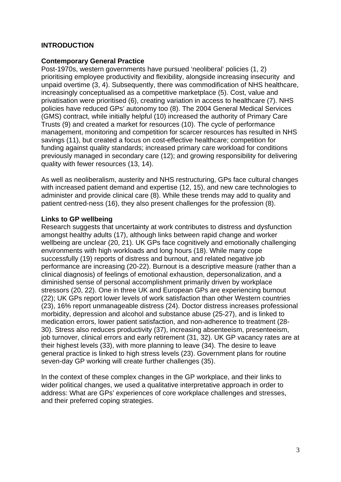## **INTRODUCTION**

#### **Contemporary General Practice**

Post-1970s, western governments have pursued 'neoliberal' policies (1, 2) prioritising employee productivity and flexibility, alongside increasing insecurity and unpaid overtime (3, 4). Subsequently, there was commodification of NHS healthcare, increasingly conceptualised as a competitive marketplace (5). Cost, value and privatisation were prioritised (6), creating variation in access to healthcare (7). NHS policies have reduced GPs' autonomy too (8). The 2004 General Medical Services (GMS) contract, while initially helpful (10) increased the authority of Primary Care Trusts (9) and created a market for resources (10). The cycle of performance management, monitoring and competition for scarcer resources has resulted in NHS savings (11), but created a focus on cost-effective healthcare; competition for funding against quality standards; increased primary care workload for conditions previously managed in secondary care (12); and growing responsibility for delivering quality with fewer resources (13, 14).

As well as neoliberalism, austerity and NHS restructuring, GPs face cultural changes with increased patient demand and expertise (12, 15), and new care technologies to administer and provide clinical care (8). While these trends may add to quality and patient centred-ness (16), they also present challenges for the profession (8).

#### **Links to GP wellbeing**

Research suggests that uncertainty at work contributes to distress and dysfunction amongst healthy adults (17), although links between rapid change and worker wellbeing are unclear (20, 21). UK GPs face cognitively and emotionally challenging environments with high workloads and long hours (18). While many cope successfully (19) reports of distress and burnout, and related negative job performance are increasing (20-22). Burnout is a descriptive measure (rather than a clinical diagnosis) of feelings of emotional exhaustion, depersonalization, and a diminished sense of personal accomplishment primarily driven by workplace stressors (20, 22). One in three UK and European GPs are experiencing burnout (22); UK GPs report lower levels of work satisfaction than other Western countries (23), 16% report unmanageable distress (24). Doctor distress increases professional morbidity, depression and alcohol and substance abuse (25-27), and is linked to medication errors, lower patient satisfaction, and non-adherence to treatment (28- 30). Stress also reduces productivity (37), increasing absenteeism, presenteeism, job turnover, clinical errors and early retirement (31, 32). UK GP vacancy rates are at their highest levels (33), with more planning to leave (34). The desire to leave general practice is linked to high stress levels (23). Government plans for routine seven-day GP working will create further challenges (35).

In the context of these complex changes in the GP workplace, and their links to wider political changes, we used a qualitative interpretative approach in order to address: What are GPs' experiences of core workplace challenges and stresses, and their preferred coping strategies.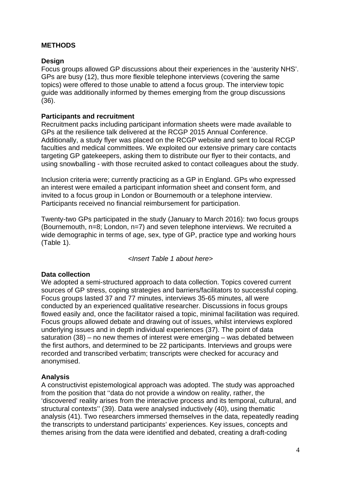#### **METHODS**

#### **Design**

Focus groups allowed GP discussions about their experiences in the 'austerity NHS'. GPs are busy (12), thus more flexible telephone interviews (covering the same topics) were offered to those unable to attend a focus group. The interview topic guide was additionally informed by themes emerging from the group discussions (36).

#### **Participants and recruitment**

Recruitment packs including participant information sheets were made available to GPs at the resilience talk delivered at the RCGP 2015 Annual Conference. Additionally, a study flyer was placed on the RCGP website and sent to local RCGP faculties and medical committees. We exploited our extensive primary care contacts targeting GP gatekeepers, asking them to distribute our flyer to their contacts, and using snowballing - with those recruited asked to contact colleagues about the study.

Inclusion criteria were; currently practicing as a GP in England. GPs who expressed an interest were emailed a participant information sheet and consent form, and invited to a focus group in London or Bournemouth or a telephone interview. Participants received no financial reimbursement for participation.

Twenty-two GPs participated in the study (January to March 2016): two focus groups (Bournemouth, n=8; London, n=7) and seven telephone interviews. We recruited a wide demographic in terms of age, sex, type of GP, practice type and working hours (Table 1).

*<Insert Table 1 about here>*

#### **Data collection**

We adopted a semi-structured approach to data collection. Topics covered current sources of GP stress, coping strategies and barriers/facilitators to successful coping. Focus groups lasted 37 and 77 minutes, interviews 35-65 minutes, all were conducted by an experienced qualitative researcher. Discussions in focus groups flowed easily and, once the facilitator raised a topic, minimal facilitation was required. Focus groups allowed debate and drawing out of issues, whilst interviews explored underlying issues and in depth individual experiences (37). The point of data saturation (38) – no new themes of interest were emerging – was debated between the first authors, and determined to be 22 participants. Interviews and groups were recorded and transcribed verbatim; transcripts were checked for accuracy and anonymised.

#### **Analysis**

A constructivist epistemological approach was adopted. The study was approached from the position that ''data do not provide a window on reality, rather, the 'discovered' reality arises from the interactive process and its temporal, cultural, and structural contexts'' (39). Data were analysed inductively (40), using thematic analysis (41). Two researchers immersed themselves in the data, repeatedly reading the transcripts to understand participants' experiences. Key issues, concepts and themes arising from the data were identified and debated, creating a draft-coding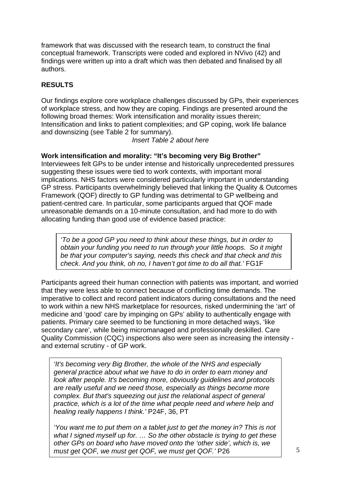framework that was discussed with the research team, to construct the final conceptual framework. Transcripts were coded and explored in NVivo (42) and findings were written up into a draft which was then debated and finalised by all authors.

## **RESULTS**

Our findings explore core workplace challenges discussed by GPs, their experiences of workplace stress, and how they are coping. Findings are presented around the following broad themes: Work intensification and morality issues therein; Intensification and links to patient complexities; and GP coping, work life balance and downsizing (see Table 2 for summary).

*Insert Table 2 about here*

#### **Work intensification and morality: "It's becoming very Big Brother"**

Interviewees felt GPs to be under intense and historically unprecedented pressures suggesting these issues were tied to work contexts, with important moral implications. NHS factors were considered particularly important in understanding GP stress. Participants overwhelmingly believed that linking the Quality & Outcomes Framework (QOF) directly to GP funding was detrimental to GP wellbeing and patient-centred care. In particular, some participants argued that QOF made unreasonable demands on a 10-minute consultation, and had more to do with allocating funding than good use of evidence based practice:

*'To be a good GP you need to think about these things, but in order to obtain your funding you need to run through your little hoops. So it might be that your computer's saying, needs this check and that check and this check. And you think, oh no, I haven't got time to do all that.'* FG1F

Participants agreed their human connection with patients was important, and worried that they were less able to connect because of conflicting time demands. The imperative to collect and record patient indicators during consultations and the need to work within a new NHS marketplace for resources, risked undermining the 'art' of medicine and 'good' care by impinging on GPs' ability to authentically engage with patients. Primary care seemed to be functioning in more detached ways, 'like secondary care', while being micromanaged and professionally deskilled. Care Quality Commission (CQC) inspections also were seen as increasing the intensity and external scrutiny - of GP work.

*'It's becoming very Big Brother, the whole of the NHS and especially general practice about what we have to do in order to earn money and look after people. It's becoming more, obviously guidelines and protocols are really useful and we need those, especially as things become more complex. But that's squeezing out just the relational aspect of general practice, which is a lot of the time what people need and where help and healing really happens I think.'* P24F, 36, PT

*'You want me to put them on a tablet just to get the money in? This is not what I signed myself up for. … So the other obstacle is trying to get these other GPs on board who have moved onto the 'other side', which is, we must get QOF, we must get QOF, we must get QOF.'* P26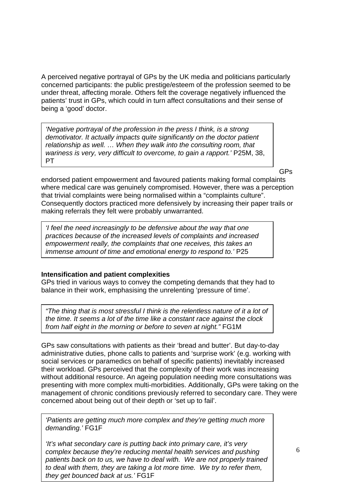A perceived negative portrayal of GPs by the UK media and politicians particularly concerned participants: the public prestige/esteem of the profession seemed to be under threat, affecting morale. Others felt the coverage negatively influenced the patients' trust in GPs, which could in turn affect consultations and their sense of being a 'good' doctor.

*'Negative portrayal of the profession in the press I think, is a strong demotivator. It actually impacts quite significantly on the doctor patient relationship as well. … When they walk into the consulting room, that wariness is very, very difficult to overcome, to gain a rapport.'* P25M, 38, **PT** 

GPs

endorsed patient empowerment and favoured patients making formal complaints where medical care was genuinely compromised. However, there was a perception that trivial complaints were being normalised within a "complaints culture". Consequently doctors practiced more defensively by increasing their paper trails or making referrals they felt were probably unwarranted.

*'I feel the need increasingly to be defensive about the way that one practices because of the increased levels of complaints and increased empowerment really, the complaints that one receives, this takes an immense amount of time and emotional energy to respond to.'* P25

#### **Intensification and patient complexities**

GPs tried in various ways to convey the competing demands that they had to balance in their work, emphasising the unrelenting 'pressure of time'.

*"The thing that is most stressful I think is the relentless nature of it a lot of the time. It seems a lot of the time like a constant race against the clock from half eight in the morning or before to seven at night."* FG1M

GPs saw consultations with patients as their 'bread and butter'. But day-to-day administrative duties, phone calls to patients and 'surprise work' (e.g. working with social services or paramedics on behalf of specific patients) inevitably increased their workload. GPs perceived that the complexity of their work was increasing without additional resource. An ageing population needing more consultations was presenting with more complex multi-morbidities. Additionally, GPs were taking on the management of chronic conditions previously referred to secondary care. They were concerned about being out of their depth or 'set up to fail'.

*'Patients are getting much more complex and they're getting much more demanding.'* FG1F

*'It's what secondary care is putting back into primary care, it's very complex because they're reducing mental health services and pushing patients back on to us, we have to deal with. We are not properly trained to deal with them, they are taking a lot more time. We try to refer them, they get bounced back at us.'* FG1F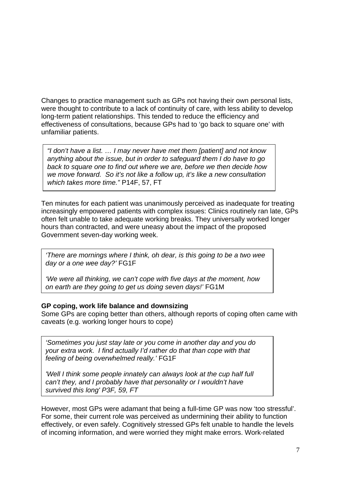Changes to practice management such as GPs not having their own personal lists, were thought to contribute to a lack of continuity of care, with less ability to develop long-term patient relationships. This tended to reduce the efficiency and effectiveness of consultations, because GPs had to 'go back to square one' with unfamiliar patients.

*"I don't have a list. … I may never have met them [patient] and not know anything about the issue, but in order to safeguard them I do have to go back to square one to find out where we are, before we then decide how we move forward. So it's not like a follow up, it's like a new consultation which takes more time."* P14F, 57, FT

Ten minutes for each patient was unanimously perceived as inadequate for treating increasingly empowered patients with complex issues: Clinics routinely ran late, GPs often felt unable to take adequate working breaks. They universally worked longer hours than contracted, and were uneasy about the impact of the proposed Government seven-day working week.

*'There are mornings where I think, oh dear, is this going to be a two wee day or a one wee day?'* FG1F

*'We were all thinking, we can't cope with five days at the moment, how on earth are they going to get us doing seven days!'* FG1M

#### **GP coping, work life balance and downsizing**

Some GPs are coping better than others, although reports of coping often came with caveats (e.g. working longer hours to cope)

*'Sometimes you just stay late or you come in another day and you do your extra work. I find actually I'd rather do that than cope with that feeling of being overwhelmed really.'* FG1F

*'Well I think some people innately can always look at the cup half full can't they, and I probably have that personality or I wouldn't have survived this long' P3F, 59, FT*

However, most GPs were adamant that being a full-time GP was now 'too stressful'. For some, their current role was perceived as undermining their ability to function effectively, or even safely. Cognitively stressed GPs felt unable to handle the levels of incoming information, and were worried they might make errors. Work-related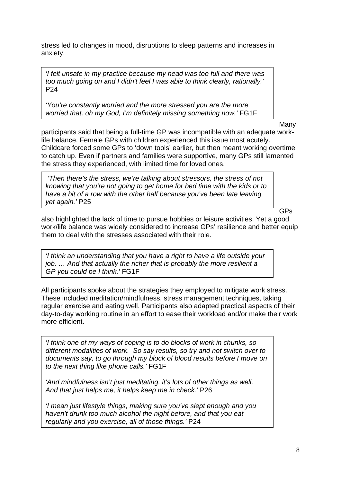stress led to changes in mood, disruptions to sleep patterns and increases in anxiety.

*'I felt unsafe in my practice because my head was too full and there was too much going on and I didn't feel I was able to think clearly, rationally.'* P24

*'You're constantly worried and the more stressed you are the more worried that, oh my God, I'm definitely missing something now.'* FG1F

Many

participants said that being a full-time GP was incompatible with an adequate worklife balance. Female GPs with children experienced this issue most acutely. Childcare forced some GPs to 'down tools' earlier, but then meant working overtime to catch up. Even if partners and families were supportive, many GPs still lamented the stress they experienced, with limited time for loved ones.

 *'Then there's the stress, we're talking about stressors, the stress of not knowing that you're not going to get home for bed time with the kids or to have a bit of a row with the other half because you've been late leaving yet again.'* P25

GPs

also highlighted the lack of time to pursue hobbies or leisure activities. Yet a good work/life balance was widely considered to increase GPs' resilience and better equip them to deal with the stresses associated with their role.

*'I think an understanding that you have a right to have a life outside your job. … And that actually the richer that is probably the more resilient a GP you could be I think.'* FG1F

All participants spoke about the strategies they employed to mitigate work stress. These included meditation/mindfulness, stress management techniques, taking regular exercise and eating well. Participants also adapted practical aspects of their day-to-day working routine in an effort to ease their workload and/or make their work more efficient.

*'I think one of my ways of coping is to do blocks of work in chunks, so different modalities of work. So say results, so try and not switch over to documents say, to go through my block of blood results before I move on to the next thing like phone calls.'* FG1F

*'And mindfulness isn't just meditating, it's lots of other things as well. And that just helps me, it helps keep me in check.'* P26

*'I mean just lifestyle things, making sure you've slept enough and you haven't drunk too much alcohol the night before, and that you eat regularly and you exercise, all of those things.'* P24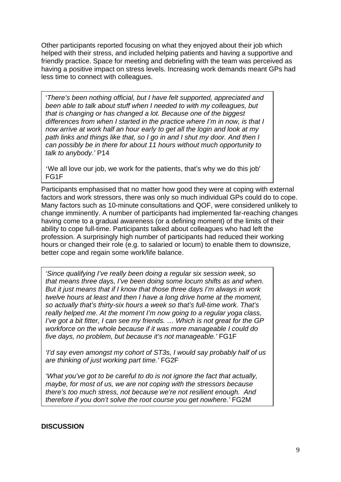Other participants reported focusing on what they enjoyed about their job which helped with their stress, and included helping patients and having a supportive and friendly practice. Space for meeting and debriefing with the team was perceived as having a positive impact on stress levels. Increasing work demands meant GPs had less time to connect with colleagues.

'*There's been nothing official, but I have felt supported, appreciated and been able to talk about stuff when I needed to with my colleagues, but that is changing or has changed a lot. Because one of the biggest differences from when I started in the practice where I'm in now, is that I now arrive at work half an hour early to get all the login and look at my path links and things like that, so I go in and I shut my door. And then I can possibly be in there for about 11 hours without much opportunity to talk to anybody.'* P14

'We all love our job, we work for the patients, that's why we do this job' FG1F

Participants emphasised that no matter how good they were at coping with external factors and work stressors, there was only so much individual GPs could do to cope. Many factors such as 10-minute consultations and QOF, were considered unlikely to change imminently. A number of participants had implemented far-reaching changes having come to a gradual awareness (or a defining moment) of the limits of their ability to cope full-time. Participants talked about colleagues who had left the profession. A surprisingly high number of participants had reduced their working hours or changed their role (e.g. to salaried or locum) to enable them to downsize, better cope and regain some work/life balance.

*'Since qualifying I've really been doing a regular six session week, so that means three days, I've been doing some locum shifts as and when. But it just means that if I know that those three days I'm always in work twelve hours at least and then I have a long drive home at the moment, so actually that's thirty-six hours a week so that's full-time work. That's really helped me. At the moment I'm now going to a regular yoga class, I've got a bit fitter, I can see my friends. ... Which is not great for the GP workforce on the whole because if it was more manageable I could do five days, no problem, but because it's not manageable.'* FG1F

*'I'd say even amongst my cohort of ST3s, I would say probably half of us are thinking of just working part time.'* FG2F

*'What you've got to be careful to do is not ignore the fact that actually, maybe, for most of us, we are not coping with the stressors because there's too much stress, not because we're not resilient enough. And therefore if you don't solve the root course you get nowhere.'* FG2M

#### **DISCUSSION**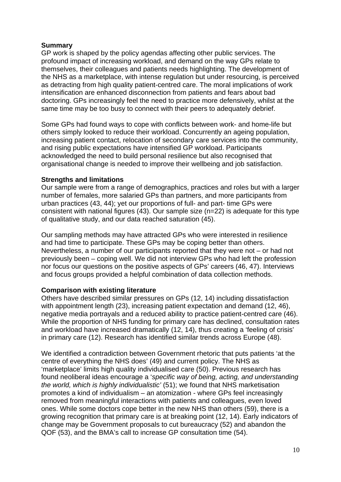#### **Summary**

GP work is shaped by the policy agendas affecting other public services. The profound impact of increasing workload, and demand on the way GPs relate to themselves, their colleagues and patients needs highlighting. The development of the NHS as a marketplace, with intense regulation but under resourcing, is perceived as detracting from high quality patient-centred care. The moral implications of work intensification are enhanced disconnection from patients and fears about bad doctoring. GPs increasingly feel the need to practice more defensively, whilst at the same time may be too busy to connect with their peers to adequately debrief.

Some GPs had found ways to cope with conflicts between work- and home-life but others simply looked to reduce their workload. Concurrently an ageing population, increasing patient contact, relocation of secondary care services into the community, and rising public expectations have intensified GP workload. Participants acknowledged the need to build personal resilience but also recognised that organisational change is needed to improve their wellbeing and job satisfaction.

## **Strengths and limitations**

Our sample were from a range of demographics, practices and roles but with a larger number of females, more salaried GPs than partners, and more participants from urban practices (43, 44); yet our proportions of full- and part- time GPs were consistent with national figures (43). Our sample size (n=22) is adequate for this type of qualitative study, and our data reached saturation (45).

Our sampling methods may have attracted GPs who were interested in resilience and had time to participate. These GPs may be coping better than others. Nevertheless, a number of our participants reported that they were not – or had not previously been – coping well. We did not interview GPs who had left the profession nor focus our questions on the positive aspects of GPs' careers (46, 47). Interviews and focus groups provided a helpful combination of data collection methods.

#### **Comparison with existing literature**

Others have described similar pressures on GPs (12, 14) including dissatisfaction with appointment length (23), increasing patient expectation and demand (12, 46). negative media portrayals and a reduced ability to practice patient-centred care (46). While the proportion of NHS funding for primary care has declined, consultation rates and workload have increased dramatically (12, 14), thus creating a 'feeling of crisis' in primary care (12). Research has identified similar trends across Europe (48).

We identified a contradiction between Government rhetoric that puts patients 'at the centre of everything the NHS does' (49) and current policy. The NHS as 'marketplace' limits high quality individualised care (50). Previous research has found neoliberal ideas encourage a '*specific way of being, acting, and understanding the world, which is highly individualistic'* (51); we found that NHS marketisation promotes a kind of individualism – an atomization - where GPs feel increasingly removed from meaningful interactions with patients and colleagues, even loved ones. While some doctors cope better in the new NHS than others (59), there is a growing recognition that primary care is at breaking point (12, 14). Early indicators of change may be Government proposals to cut bureaucracy (52) and abandon the QOF (53), and the BMA's call to increase GP consultation time (54).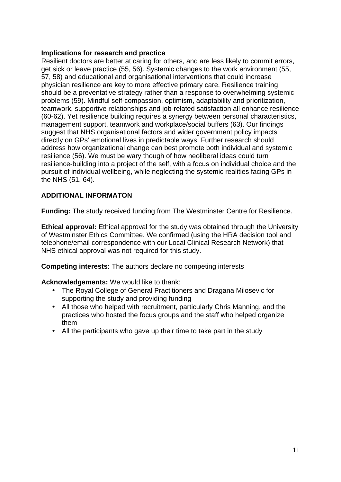## **Implications for research and practice**

Resilient doctors are better at caring for others, and are less likely to commit errors, get sick or leave practice (55, 56). Systemic changes to the work environment (55, 57, 58) and educational and organisational interventions that could increase physician resilience are key to more effective primary care. Resilience training should be a preventative strategy rather than a response to overwhelming systemic problems (59). Mindful self-compassion, optimism, adaptability and prioritization, teamwork, supportive relationships and job-related satisfaction all enhance resilience (60-62). Yet resilience building requires a synergy between personal characteristics, management support, teamwork and workplace/social buffers (63). Our findings suggest that NHS organisational factors and wider government policy impacts directly on GPs' emotional lives in predictable ways. Further research should address how organizational change can best promote both individual and systemic resilience (56). We must be wary though of how neoliberal ideas could turn resilience-building into a project of the self, with a focus on individual choice and the pursuit of individual wellbeing, while neglecting the systemic realities facing GPs in the NHS (51, 64).

## **ADDITIONAL INFORMATON**

**Funding:** The study received funding from The Westminster Centre for Resilience.

**Ethical approval:** Ethical approval for the study was obtained through the University of Westminster Ethics Committee. We confirmed (using the HRA decision tool and telephone/email correspondence with our Local Clinical Research Network) that NHS ethical approval was not required for this study.

**Competing interests:** The authors declare no competing interests

#### **Acknowledgements:** We would like to thank:

- The Royal College of General Practitioners and Dragana Milosevic for supporting the study and providing funding
- All those who helped with recruitment, particularly Chris Manning, and the practices who hosted the focus groups and the staff who helped organize them
- All the participants who gave up their time to take part in the study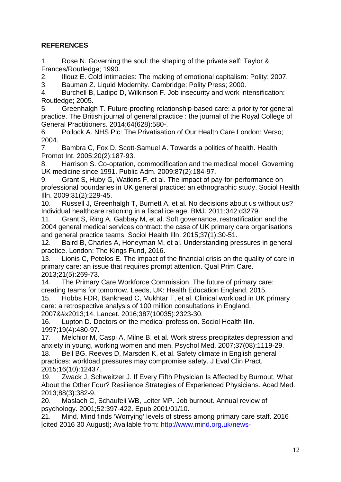# **REFERENCES**

1. Rose N. Governing the soul: the shaping of the private self: Taylor & Frances/Routledge; 1990.

2. Illouz E. Cold intimacies: The making of emotional capitalism: Polity; 2007.

3. Bauman Z. Liquid Modernity. Cambridge: Polity Press; 2000.

4. Burchell B, Ladipo D, Wilkinson F. Job insecurity and work intensification: Routledge; 2005.

5. Greenhalgh T. Future-proofing relationship-based care: a priority for general practice. The British journal of general practice : the journal of the Royal College of General Practitioners. 2014;64(628):580-.

6. Pollock A. NHS Plc: The Privatisation of Our Health Care London: Verso; 2004.

7. Bambra C, Fox D, Scott-Samuel A. Towards a politics of health. Health Promot Int. 2005;20(2):187-93.

8. Harrison S. Co-optation, commodification and the medical model: Governing UK medicine since 1991. Public Adm. 2009;87(2):184-97.

9. Grant S, Huby G, Watkins F, et al. The impact of pay-for-performance on professional boundaries in UK general practice: an ethnographic study. Sociol Health Illn. 2009;31(2):229-45.

10. Russell J, Greenhalgh T, Burnett A, et al. No decisions about us without us? Individual healthcare rationing in a fiscal ice age. BMJ. 2011;342:d3279.

11. Grant S, Ring A, Gabbay M, et al. Soft governance, restratification and the 2004 general medical services contract: the case of UK primary care organisations and general practice teams. Sociol Health Illn. 2015;37(1):30-51.

12. Baird B, Charles A, Honeyman M, et al. Understanding pressures in general practice. London: The Kings Fund, 2016.

13. Lionis C, Petelos E. The impact of the financial crisis on the quality of care in primary care: an issue that requires prompt attention. Qual Prim Care. 2013;21(5):269-73.

14. The Primary Care Workforce Commission. The future of primary care: creating teams for tomorrow. Leeds, UK: Health Education England, 2015.

15. Hobbs FDR, Bankhead C, Mukhtar T, et al. Clinical workload in UK primary care: a retrospective analysis of 100 million consultations in England, 2007–14. Lancet. 2016;387(10035):2323-30.

16. Lupton D. Doctors on the medical profession. Sociol Health Illn. 1997;19(4):480-97.

17. Melchior M, Caspi A, Milne B, et al. Work stress precipitates depression and anxiety in young, working women and men. Psychol Med. 2007;37(08):1119-29.

18. Bell BG, Reeves D, Marsden K, et al. Safety climate in English general practices: workload pressures may compromise safety. J Eval Clin Pract. 2015;16(10):12437.

19. Zwack J, Schweitzer J. If Every Fifth Physician Is Affected by Burnout, What About the Other Four? Resilience Strategies of Experienced Physicians. Acad Med. 2013;88(3):382-9.

20. Maslach C, Schaufeli WB, Leiter MP. Job burnout. Annual review of psychology. 2001;52:397-422. Epub 2001/01/10.

21. Mind. Mind finds 'Worrying' levels of stress among primary care staff. 2016 [cited 2016 30 August]; Available from: [http://www.mind.org.uk/news-](http://www.mind.org.uk/news-campaigns/news/mind-finds-worrying-levels-of-stress-among-primary-care-staff/#.V8WFBqKbEXI)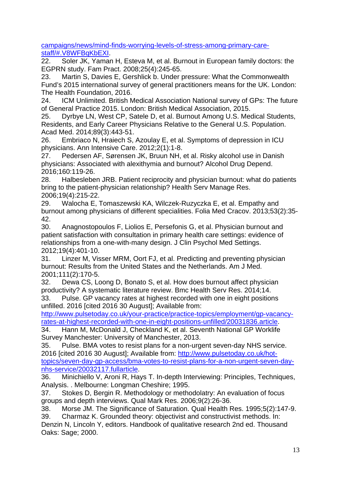[campaigns/news/mind-finds-worrying-levels-of-stress-among-primary-care](http://www.mind.org.uk/news-campaigns/news/mind-finds-worrying-levels-of-stress-among-primary-care-staff/#.V8WFBqKbEXI)[staff/#.V8WFBqKbEXI](http://www.mind.org.uk/news-campaigns/news/mind-finds-worrying-levels-of-stress-among-primary-care-staff/#.V8WFBqKbEXI).

22. Soler JK, Yaman H, Esteva M, et al. Burnout in European family doctors: the EGPRN study. Fam Pract. 2008;25(4):245-65.

23. Martin S, Davies E, Gershlick b. Under pressure: What the Commonwealth Fund's 2015 international survey of general practitioners means for the UK. London: The Health Foundation, 2016.

24. ICM Unlimited. British Medical Association National survey of GPs: The future of General Practice 2015. London: British Medical Association, 2015.

25. Dyrbye LN, West CP, Satele D, et al. Burnout Among U.S. Medical Students, Residents, and Early Career Physicians Relative to the General U.S. Population. Acad Med. 2014;89(3):443-51.

26. Embriaco N, Hraiech S, Azoulay E, et al. Symptoms of depression in ICU physicians. Ann Intensive Care. 2012;2(1):1-8.

27. Pedersen AF, Sørensen JK, Bruun NH, et al. Risky alcohol use in Danish physicians: Associated with alexithymia and burnout? Alcohol Drug Depend. 2016;160:119-26.

28. Halbesleben JRB. Patient reciprocity and physician burnout: what do patients bring to the patient-physician relationship? Health Serv Manage Res. 2006;19(4):215-22.

29. Walocha E, Tomaszewski KA, Wilczek-Ruzyczka E, et al. Empathy and burnout among physicians of different specialities. Folia Med Cracov. 2013;53(2):35- 42.

30. Anagnostopoulos F, Liolios E, Persefonis G, et al. Physician burnout and patient satisfaction with consultation in primary health care settings: evidence of relationships from a one-with-many design. J Clin Psychol Med Settings. 2012;19(4):401-10.

31. Linzer M, Visser MRM, Oort FJ, et al. Predicting and preventing physician burnout: Results from the United States and the Netherlands. Am J Med. 2001;111(2):170-5.

32. Dewa CS, Loong D, Bonato S, et al. How does burnout affect physician productivity? A systematic literature review. Bmc Health Serv Res. 2014;14. 33. Pulse. GP vacancy rates at highest recorded with one in eight positions

unfilled. 2016 [cited 2016 30 August]; Available from:

[http://www.pulsetoday.co.uk/your-practice/practice-topics/employment/gp-vacancy](http://www.pulsetoday.co.uk/your-practice/practice-topics/employment/gp-vacancy-rates-at-highest-recorded-with-one-in-eight-positions-unfilled/20031836.article)[rates-at-highest-recorded-with-one-in-eight-positions-unfilled/20031836.article.](http://www.pulsetoday.co.uk/your-practice/practice-topics/employment/gp-vacancy-rates-at-highest-recorded-with-one-in-eight-positions-unfilled/20031836.article)

34. Hann M, McDonald J, Checkland K, et al. Seventh National GP Worklife Survey Manchester: University of Manchester, 2013.

35. Pulse. BMA votes to resist plans for a non-urgent seven-day NHS service. 2016 [cited 2016 30 August]; Available from: [http://www.pulsetoday.co.uk/hot](http://www.pulsetoday.co.uk/hot-topics/seven-day-gp-access/bma-votes-to-resist-plans-for-a-non-urgent-seven-day-nhs-service/20032117.fullarticle)[topics/seven-day-gp-access/bma-votes-to-resist-plans-for-a-non-urgent-seven-day](http://www.pulsetoday.co.uk/hot-topics/seven-day-gp-access/bma-votes-to-resist-plans-for-a-non-urgent-seven-day-nhs-service/20032117.fullarticle)[nhs-service/20032117.fullarticle.](http://www.pulsetoday.co.uk/hot-topics/seven-day-gp-access/bma-votes-to-resist-plans-for-a-non-urgent-seven-day-nhs-service/20032117.fullarticle)

36. Minichiello V, Aroni R, Hays T. In-depth Interviewing: Principles, Techniques, Analysis. . Melbourne: Longman Cheshire; 1995.

37. Stokes D, Bergin R. Methodology or methodolatry: An evaluation of focus groups and depth interviews. Qual Mark Res. 2006;9(2):26-36.

38. Morse JM. The Significance of Saturation. Qual Health Res. 1995;5(2):147-9.

39. Charmaz K. Grounded theory: objectivist and constructivist methods. In: Denzin N, Lincoln Y, editors. Handbook of qualitative research 2nd ed. Thousand Oaks: Sage; 2000.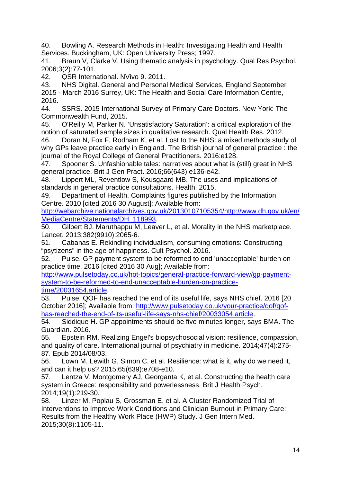40. Bowling A. Research Methods in Health: Investigating Health and Health Services. Buckingham, UK: Open University Press; 1997.

41. Braun V, Clarke V. Using thematic analysis in psychology. Qual Res Psychol. 2006;3(2):77-101.

42. QSR International. NVivo 9. 2011.

43. NHS Digital. General and Personal Medical Services, England September 2015 - March 2016 Surrey, UK: The Health and Social Care Information Centre, 2016.

44. SSRS. 2015 International Survey of Primary Care Doctors. New York: The Commonwealth Fund, 2015.

45. O'Reilly M, Parker N. 'Unsatisfactory Saturation': a critical exploration of the notion of saturated sample sizes in qualitative research. Qual Health Res. 2012.

46. Doran N, Fox F, Rodham K, et al. Lost to the NHS: a mixed methods study of why GPs leave practice early in England. The British journal of general practice : the journal of the Royal College of General Practitioners. 2016:e128.

47. Spooner S. Unfashionable tales: narratives about what is (still) great in NHS general practice. Brit J Gen Pract. 2016;66(643):e136-e42.

48. Lippert ML, Reventlow S, Kousgaard MB. The uses and implications of standards in general practice consultations. Health. 2015.

49. Department of Health. Complaints figures published by the Information Centre. 2010 [cited 2016 30 August]; Available from:

[http://webarchive.nationalarchives.gov.uk/20130107105354/http://www.dh.gov.uk/en/](http://webarchive.nationalarchives.gov.uk/20130107105354/http://www.dh.gov.uk/en/MediaCentre/Statements/DH_118993) [MediaCentre/Statements/DH\\_118993](http://webarchive.nationalarchives.gov.uk/20130107105354/http://www.dh.gov.uk/en/MediaCentre/Statements/DH_118993).

50. Gilbert BJ, Maruthappu M, Leaver L, et al. Morality in the NHS marketplace. Lancet. 2013;382(9910):2065-6.

51. Cabanas E. Rekindling individualism, consuming emotions: Constructing "psytizens" in the age of happiness. Cult Psychol. 2016.

52. Pulse. GP payment system to be reformed to end 'unacceptable' burden on practice time. 2016 [cited 2016 30 Aug]; Available from:

[http://www.pulsetoday.co.uk/hot-topics/general-practice-forward-view/gp-payment](http://www.pulsetoday.co.uk/hot-topics/general-practice-forward-view/gp-payment-system-to-be-reformed-to-end-unacceptable-burden-on-practice-time/20031654.article)[system-to-be-reformed-to-end-unacceptable-burden-on-practice](http://www.pulsetoday.co.uk/hot-topics/general-practice-forward-view/gp-payment-system-to-be-reformed-to-end-unacceptable-burden-on-practice-time/20031654.article)[time/20031654.article.](http://www.pulsetoday.co.uk/hot-topics/general-practice-forward-view/gp-payment-system-to-be-reformed-to-end-unacceptable-burden-on-practice-time/20031654.article)

53. Pulse. QOF has reached the end of its useful life, says NHS chief. 2016 [20 October 2016]; Available from: [http://www.pulsetoday.co.uk/your-practice/qof/qof](http://www.pulsetoday.co.uk/your-practice/qof/qof-has-reached-the-end-of-its-useful-life-says-nhs-chief/20033054.article)[has-reached-the-end-of-its-useful-life-says-nhs-chief/20033054.article](http://www.pulsetoday.co.uk/your-practice/qof/qof-has-reached-the-end-of-its-useful-life-says-nhs-chief/20033054.article).

54. Siddique H. GP appointments should be five minutes longer, says BMA. The Guardian. 2016.

55. Epstein RM. Realizing Engel's biopsychosocial vision: resilience, compassion, and quality of care. International journal of psychiatry in medicine. 2014;47(4):275- 87. Epub 2014/08/03.

56. Lown M, Lewith G, Simon C, et al. Resilience: what is it, why do we need it, and can it help us? 2015;65(639):e708-e10.

57. Lentza V, Montgomery AJ, Georganta K, et al. Constructing the health care system in Greece: responsibility and powerlessness. Brit J Health Psych. 2014;19(1):219-30.

58. Linzer M, Poplau S, Grossman E, et al. A Cluster Randomized Trial of Interventions to Improve Work Conditions and Clinician Burnout in Primary Care: Results from the Healthy Work Place (HWP) Study. J Gen Intern Med. 2015;30(8):1105-11.